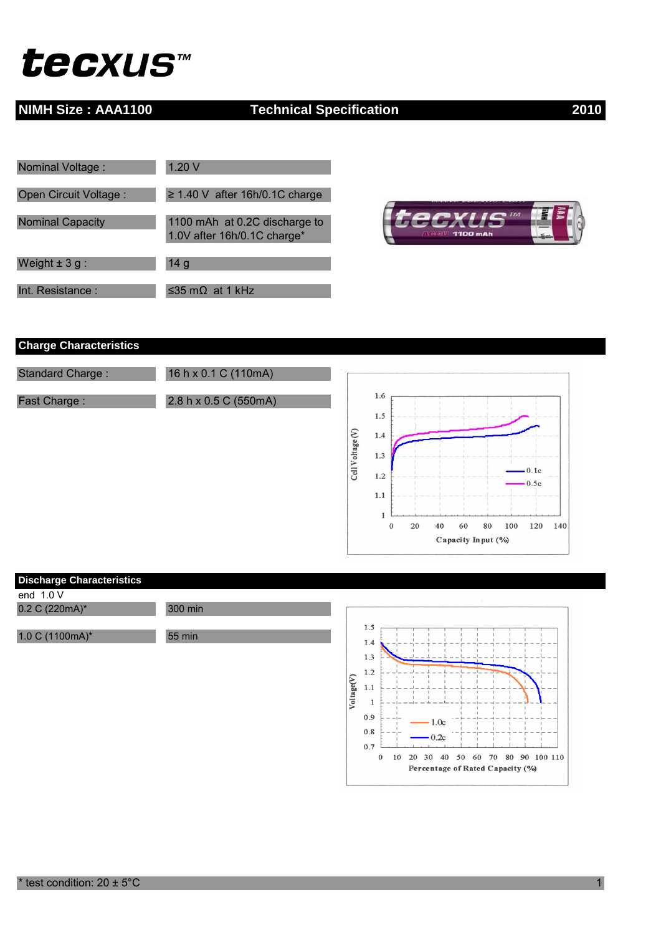# *tecxus™*

### **NIMH Size : AAA1100** Technical Specification 2010

| Nominal Voltage:        | 1.20V                                                        |
|-------------------------|--------------------------------------------------------------|
| Open Circuit Voltage:   | $\geq$ 1.40 V after 16h/0.1C charge                          |
|                         |                                                              |
| <b>Nominal Capacity</b> | 1100 mAh at 0.2C discharge to<br>1.0V after 16h/0.1C charge* |
|                         |                                                              |
| Weight $\pm$ 3 g :      | 14 <sub>g</sub>                                              |
| Int. Resistance:        | ≤35 mΩ at 1 kHz                                              |



### **Charge Characteristics**





 $0.7\,$ 

 $\,0\,$ 

 $\mathbf{L}$  $\mathbf{L}$ 

10 20 30 40 50 60 70 80 90 100 110 Percentage of Rated Capacity (%)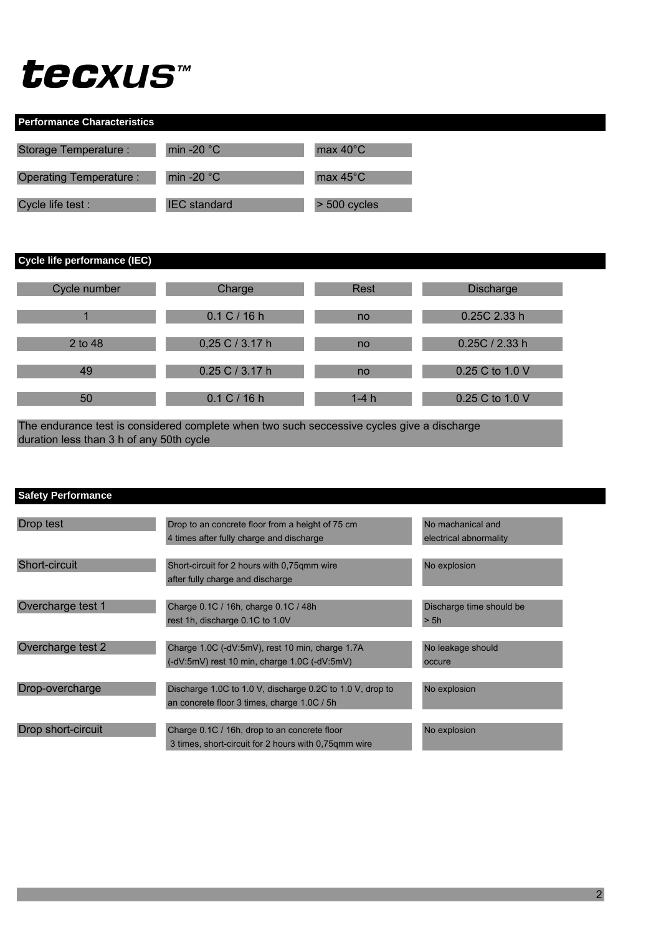## tecxus™

| <b>Performance Characteristics</b> |                      |                    |  |  |
|------------------------------------|----------------------|--------------------|--|--|
| Storage Temperature :              | min -20 $^{\circ}$ C | max $40^{\circ}$ C |  |  |
| Operating Temperature:             | min -20 $\degree$ C  | max $45^{\circ}$ C |  |  |
| Cycle life test :                  | <b>IEC</b> standard  | $> 500$ cycles     |  |  |

**Cycle life performance (IEC)**

| Cycle number | Charge              | <b>Rest</b> | <b>Discharge</b> |
|--------------|---------------------|-------------|------------------|
|              | 0.1 C / 16 h        | no          | 0.25C 2.33 h     |
| 2 to 48      | 0,25 C / 3.17 h     | no          | 0.25C / 2.33 h   |
| 49           | $0.25$ C $/$ 3.17 h | no          | 0.25 C to 1.0 V  |
| 50           | 0.1 C / 16 h        | $1-4h$      | 0.25 C to 1.0 V  |

duration less than 3 h of any 50th cycle The endurance test is considered complete when two such seccessive cycles give a discharge

| <b>Safety Performance</b> |                                                                                                          |                                             |
|---------------------------|----------------------------------------------------------------------------------------------------------|---------------------------------------------|
| Drop test                 | Drop to an concrete floor from a height of 75 cm<br>4 times after fully charge and discharge             | No machanical and<br>electrical abnormality |
| Short-circuit             | Short-circuit for 2 hours with 0.75qmm wire<br>after fully charge and discharge                          | No explosion                                |
| Overcharge test 1         | Charge 0.1C / 16h, charge 0.1C / 48h<br>rest 1h, discharge 0.1C to 1.0V                                  | Discharge time should be<br>> 5h            |
| Overcharge test 2         | Charge 1.0C (-dV:5mV), rest 10 min, charge 1.7A<br>$(-dV:5mV)$ rest 10 min, charge 1.0C $(-dV:5mV)$      | No leakage should<br>occure                 |
| Drop-overcharge           | Discharge 1.0C to 1.0 V, discharge 0.2C to 1.0 V, drop to<br>an concrete floor 3 times, charge 1.0C / 5h | No explosion                                |
| Drop short-circuit        | Charge 0.1C / 16h, drop to an concrete floor<br>3 times, short-circuit for 2 hours with 0,75qmm wire     | No explosion                                |